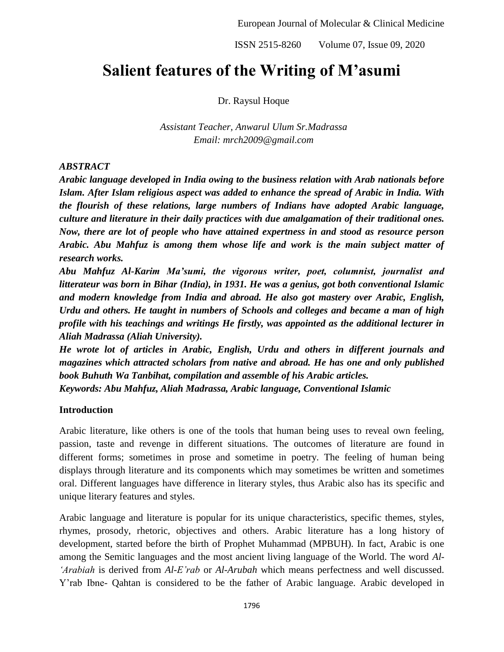# **Salient features of the Writing of M'asumi**

Dr. Raysul Hoque

*Assistant Teacher, Anwarul Ulum Sr.Madrassa Email: mrch2009@gmail.com*

### *ABSTRACT*

*Arabic language developed in India owing to the business relation with Arab nationals before Islam. After Islam religious aspect was added to enhance the spread of Arabic in India. With the flourish of these relations, large numbers of Indians have adopted Arabic language, culture and literature in their daily practices with due amalgamation of their traditional ones. Now, there are lot of people who have attained expertness in and stood as resource person Arabic. Abu Mahfuz is among them whose life and work is the main subject matter of research works.* 

*Abu Mahfuz Al-Karim Ma'sumi, the vigorous writer, poet, columnist, journalist and litterateur was born in Bihar (India), in 1931. He was a genius, got both conventional Islamic and modern knowledge from India and abroad. He also got mastery over Arabic, English, Urdu and others. He taught in numbers of Schools and colleges and became a man of high profile with his teachings and writings He firstly, was appointed as the additional lecturer in Aliah Madrassa (Aliah University).* 

*He wrote lot of articles in Arabic, English, Urdu and others in different journals and magazines which attracted scholars from native and abroad. He has one and only published book Buhuth Wa Tanbihat, compilation and assemble of his Arabic articles. Keywords: Abu Mahfuz, Aliah Madrassa, Arabic language, Conventional Islamic*

## **Introduction**

Arabic literature, like others is one of the tools that human being uses to reveal own feeling, passion, taste and revenge in different situations. The outcomes of literature are found in different forms; sometimes in prose and sometime in poetry. The feeling of human being displays through literature and its components which may sometimes be written and sometimes oral. Different languages have difference in literary styles, thus Arabic also has its specific and unique literary features and styles.

Arabic language and literature is popular for its unique characteristics, specific themes, styles, rhymes, prosody, rhetoric, objectives and others. Arabic literature has a long history of development, started before the birth of Prophet Muhammad (MPBUH). In fact, Arabic is one among the Semitic languages and the most ancient living language of the World. The word *Al- 'Arabiah* is derived from *Al-E'rab* or *Al-Arubah* which means perfectness and well discussed. Y'rab Ibne- Qahtan is considered to be the father of Arabic language. Arabic developed in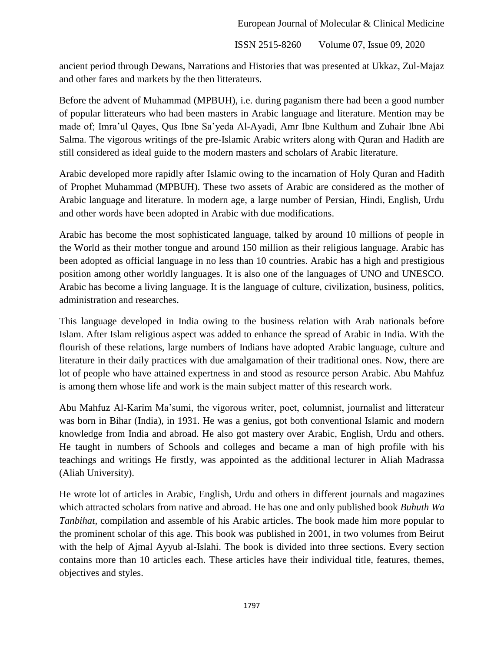ancient period through Dewans, Narrations and Histories that was presented at Ukkaz, Zul-Majaz and other fares and markets by the then litterateurs.

Before the advent of Muhammad (MPBUH), i.e. during paganism there had been a good number of popular litterateurs who had been masters in Arabic language and literature. Mention may be made of; Imra'ul Qayes, Qus Ibne Sa'yeda Al-Ayadi, Amr Ibne Kulthum and Zuhair Ibne Abi Salma. The vigorous writings of the pre-Islamic Arabic writers along with Quran and Hadith are still considered as ideal guide to the modern masters and scholars of Arabic literature.

Arabic developed more rapidly after Islamic owing to the incarnation of Holy Quran and Hadith of Prophet Muhammad (MPBUH). These two assets of Arabic are considered as the mother of Arabic language and literature. In modern age, a large number of Persian, Hindi, English, Urdu and other words have been adopted in Arabic with due modifications.

Arabic has become the most sophisticated language, talked by around 10 millions of people in the World as their mother tongue and around 150 million as their religious language. Arabic has been adopted as official language in no less than 10 countries. Arabic has a high and prestigious position among other worldly languages. It is also one of the languages of UNO and UNESCO. Arabic has become a living language. It is the language of culture, civilization, business, politics, administration and researches.

This language developed in India owing to the business relation with Arab nationals before Islam. After Islam religious aspect was added to enhance the spread of Arabic in India. With the flourish of these relations, large numbers of Indians have adopted Arabic language, culture and literature in their daily practices with due amalgamation of their traditional ones. Now, there are lot of people who have attained expertness in and stood as resource person Arabic. Abu Mahfuz is among them whose life and work is the main subject matter of this research work.

Abu Mahfuz Al-Karim Ma'sumi, the vigorous writer, poet, columnist, journalist and litterateur was born in Bihar (India), in 1931. He was a genius, got both conventional Islamic and modern knowledge from India and abroad. He also got mastery over Arabic, English, Urdu and others. He taught in numbers of Schools and colleges and became a man of high profile with his teachings and writings He firstly, was appointed as the additional lecturer in Aliah Madrassa (Aliah University).

He wrote lot of articles in Arabic, English, Urdu and others in different journals and magazines which attracted scholars from native and abroad. He has one and only published book *Buhuth Wa Tanbihat,* compilation and assemble of his Arabic articles. The book made him more popular to the prominent scholar of this age. This book was published in 2001, in two volumes from Beirut with the help of Ajmal Ayyub al-Islahi. The book is divided into three sections. Every section contains more than 10 articles each. These articles have their individual title, features, themes, objectives and styles.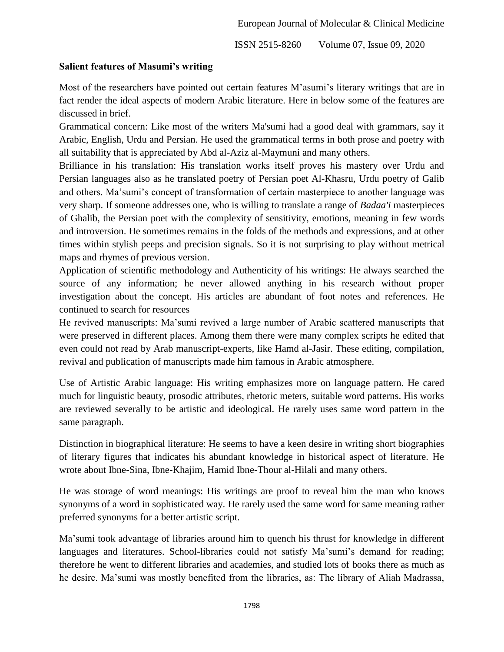#### **Salient features of Masumi's writing**

Most of the researchers have pointed out certain features M'asumi's literary writings that are in fact render the ideal aspects of modern Arabic literature. Here in below some of the features are discussed in brief.

Grammatical concern: Like most of the writers Ma'sumi had a good deal with grammars, say it Arabic, English, Urdu and Persian. He used the grammatical terms in both prose and poetry with all suitability that is appreciated by Abd al-Aziz al-Maymuni and many others.

Brilliance in his translation: His translation works itself proves his mastery over Urdu and Persian languages also as he translated poetry of Persian poet Al-Khasru, Urdu poetry of Galib and others. Ma'sumi's concept of transformation of certain masterpiece to another language was very sharp. If someone addresses one, who is willing to translate a range of *Badaa'i* masterpieces of Ghalib, the Persian poet with the complexity of sensitivity, emotions, meaning in few words and introversion. He sometimes remains in the folds of the methods and expressions, and at other times within stylish peeps and precision signals. So it is not surprising to play without metrical maps and rhymes of previous version.

Application of scientific methodology and Authenticity of his writings: He always searched the source of any information; he never allowed anything in his research without proper investigation about the concept. His articles are abundant of foot notes and references. He continued to search for resources

He revived manuscripts: Ma'sumi revived a large number of Arabic scattered manuscripts that were preserved in different places. Among them there were many complex scripts he edited that even could not read by Arab manuscript-experts, like Hamd al-Jasir. These editing, compilation, revival and publication of manuscripts made him famous in Arabic atmosphere.

Use of Artistic Arabic language: His writing emphasizes more on language pattern. He cared much for linguistic beauty, prosodic attributes, rhetoric meters, suitable word patterns. His works are reviewed severally to be artistic and ideological. He rarely uses same word pattern in the same paragraph.

Distinction in biographical literature: He seems to have a keen desire in writing short biographies of literary figures that indicates his abundant knowledge in historical aspect of literature. He wrote about Ibne-Sina, Ibne-Khajim, Hamid Ibne-Thour al-Hilali and many others.

He was storage of word meanings: His writings are proof to reveal him the man who knows synonyms of a word in sophisticated way. He rarely used the same word for same meaning rather preferred synonyms for a better artistic script.

Ma'sumi took advantage of libraries around him to quench his thrust for knowledge in different languages and literatures. School-libraries could not satisfy Ma'sumi's demand for reading; therefore he went to different libraries and academies, and studied lots of books there as much as he desire. Ma'sumi was mostly benefited from the libraries, as: The library of Aliah Madrassa,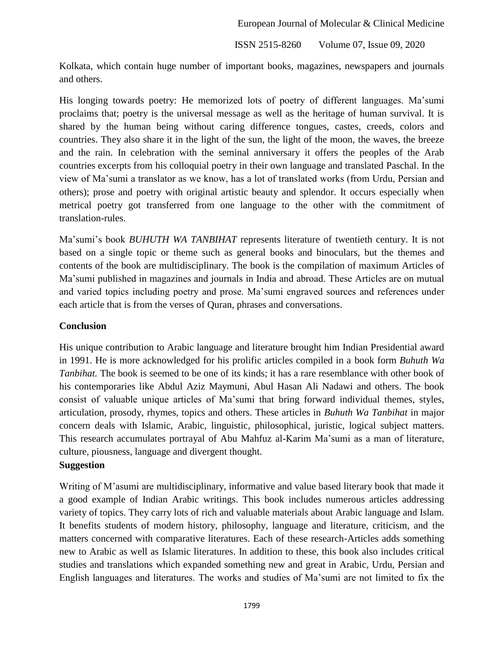Kolkata, which contain huge number of important books, magazines, newspapers and journals and others.

His longing towards poetry: He memorized lots of poetry of different languages. Ma'sumi proclaims that; poetry is the universal message as well as the heritage of human survival. It is shared by the human being without caring difference tongues, castes, creeds, colors and countries. They also share it in the light of the sun, the light of the moon, the waves, the breeze and the rain. In celebration with the seminal anniversary it offers the peoples of the Arab countries excerpts from his colloquial poetry in their own language and translated Paschal. In the view of Ma'sumi a translator as we know, has a lot of translated works (from Urdu, Persian and others); prose and poetry with original artistic beauty and splendor. It occurs especially when metrical poetry got transferred from one language to the other with the commitment of translation-rules.

Ma'sumi's book *BUHUTH WA TANBIHAT* represents literature of twentieth century. It is not based on a single topic or theme such as general books and binoculars, but the themes and contents of the book are multidisciplinary. The book is the compilation of maximum Articles of Ma'sumi published in magazines and journals in India and abroad. These Articles are on mutual and varied topics including poetry and prose. Ma'sumi engraved sources and references under each article that is from the verses of Quran, phrases and conversations.

#### **Conclusion**

His unique contribution to Arabic language and literature brought him Indian Presidential award in 1991. He is more acknowledged for his prolific articles compiled in a book form *Buhuth Wa Tanbihat*. The book is seemed to be one of its kinds; it has a rare resemblance with other book of his contemporaries like Abdul Aziz Maymuni, Abul Hasan Ali Nadawi and others. The book consist of valuable unique articles of Ma'sumi that bring forward individual themes, styles, articulation, prosody, rhymes, topics and others. These articles in *Buhuth Wa Tanbihat* in major concern deals with Islamic, Arabic, linguistic, philosophical, juristic, logical subject matters. This research accumulates portrayal of Abu Mahfuz al-Karim Ma'sumi as a man of literature, culture, piousness, language and divergent thought. **Suggestion**

Writing of M'asumi are multidisciplinary, informative and value based literary book that made it a good example of Indian Arabic writings. This book includes numerous articles addressing variety of topics. They carry lots of rich and valuable materials about Arabic language and Islam. It benefits students of modern history, philosophy, language and literature, criticism, and the matters concerned with comparative literatures. Each of these research-Articles adds something new to Arabic as well as Islamic literatures. In addition to these, this book also includes critical studies and translations which expanded something new and great in Arabic, Urdu, Persian and English languages and literatures. The works and studies of Ma'sumi are not limited to fix the